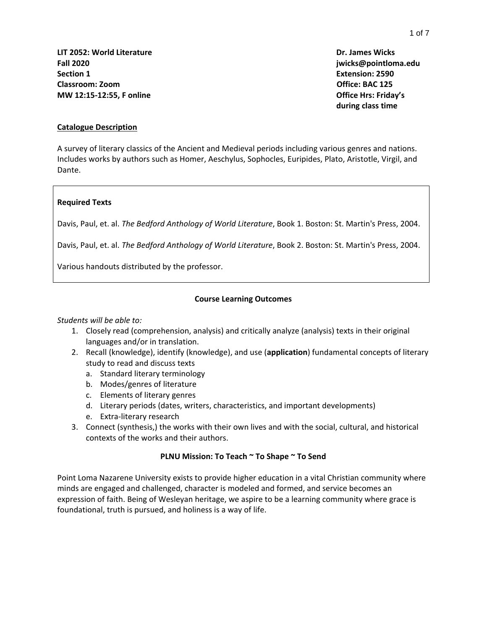**LIT 2052: World Literature Dr. James Wicks Fall 2020 jwicks@pointloma.edu Section 1 Extension: 2590 Classroom: Zoom Office: BAC 125 MW 12:15-12:55, F online Office Hrs: Friday's** 

**during class time**

#### **Catalogue Description**

A survey of literary classics of the Ancient and Medieval periods including various genres and nations. Includes works by authors such as Homer, Aeschylus, Sophocles, Euripides, Plato, Aristotle, Virgil, and Dante.

#### **Required Texts**

Davis, Paul, et. al. *The Bedford Anthology of World Literature*, Book 1. Boston: St. Martin's Press, 2004.

Davis, Paul, et. al. *The Bedford Anthology of World Literature*, Book 2. Boston: St. Martin's Press, 2004.

Various handouts distributed by the professor.

### **Course Learning Outcomes**

#### *Students will be able to:*

- 1. Closely read (comprehension, analysis) and critically analyze (analysis) texts in their original languages and/or in translation.
- 2. Recall (knowledge), identify (knowledge), and use (**application**) fundamental concepts of literary study to read and discuss texts
	- a. Standard literary terminology
	- b. Modes/genres of literature
	- c. Elements of literary genres
	- d. Literary periods (dates, writers, characteristics, and important developments)
	- e. Extra-literary research
- 3. Connect (synthesis,) the works with their own lives and with the social, cultural, and historical contexts of the works and their authors.

### **PLNU Mission: To Teach ~ To Shape ~ To Send**

Point Loma Nazarene University exists to provide higher education in a vital Christian community where minds are engaged and challenged, character is modeled and formed, and service becomes an expression of faith. Being of Wesleyan heritage, we aspire to be a learning community where grace is foundational, truth is pursued, and holiness is a way of life.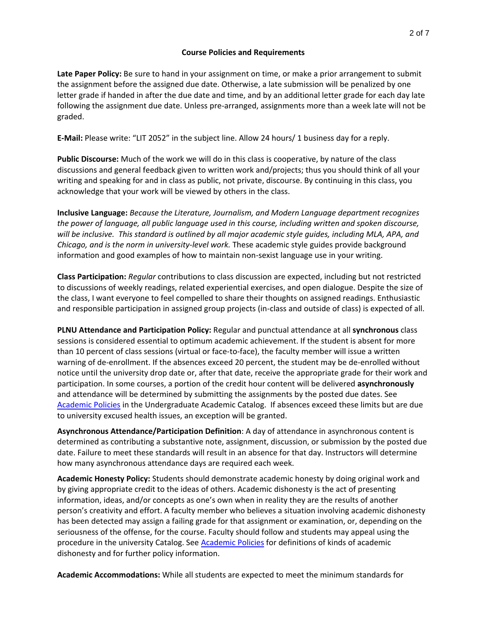#### **Course Policies and Requirements**

**Late Paper Policy:** Be sure to hand in your assignment on time, or make a prior arrangement to submit the assignment before the assigned due date. Otherwise, a late submission will be penalized by one letter grade if handed in after the due date and time, and by an additional letter grade for each day late following the assignment due date. Unless pre-arranged, assignments more than a week late will not be graded.

**E-Mail:** Please write: "LIT 2052" in the subject line. Allow 24 hours/ 1 business day for a reply.

**Public Discourse:** Much of the work we will do in this class is cooperative, by nature of the class discussions and general feedback given to written work and/projects; thus you should think of all your writing and speaking for and in class as public, not private, discourse. By continuing in this class, you acknowledge that your work will be viewed by others in the class.

**Inclusive Language:** *Because the Literature, Journalism, and Modern Language department recognizes the power of language, all public language used in this course, including written and spoken discourse, will be inclusive. This standard is outlined by all major academic style guides, including MLA, APA, and Chicago, and is the norm in university-level work.* These academic style guides provide background information and good examples of how to maintain non-sexist language use in your writing.

**Class Participation:** *Regular* contributions to class discussion are expected, including but not restricted to discussions of weekly readings, related experiential exercises, and open dialogue. Despite the size of the class, I want everyone to feel compelled to share their thoughts on assigned readings. Enthusiastic and responsible participation in assigned group projects (in-class and outside of class) is expected of all.

**PLNU Attendance and Participation Policy:** Regular and punctual attendance at all **synchronous** class sessions is considered essential to optimum academic achievement. If the student is absent for more than 10 percent of class sessions (virtual or face-to-face), the faculty member will issue a written warning of de-enrollment. If the absences exceed 20 percent, the student may be de-enrolled without notice until the university drop date or, after that date, receive the appropriate grade for their work and participation. In some courses, a portion of the credit hour content will be delivered **asynchronously** and attendance will be determined by submitting the assignments by the posted due dates. See [Academic Policies](https://catalog.pointloma.edu/content.php?catoid=46&navoid=2650#Class_Attendance) in the Undergraduate Academic Catalog. If absences exceed these limits but are due to university excused health issues, an exception will be granted.

**Asynchronous Attendance/Participation Definition**: A day of attendance in asynchronous content is determined as contributing a substantive note, assignment, discussion, or submission by the posted due date. Failure to meet these standards will result in an absence for that day. Instructors will determine how many asynchronous attendance days are required each week.

**Academic Honesty Policy:** Students should demonstrate academic honesty by doing original work and by giving appropriate credit to the ideas of others. Academic dishonesty is the act of presenting information, ideas, and/or concepts as one's own when in reality they are the results of another person's creativity and effort. A faculty member who believes a situation involving academic dishonesty has been detected may assign a failing grade for that assignment or examination, or, depending on the seriousness of the offense, for the course. Faculty should follow and students may appeal using the procedure in the university Catalog. See [Academic Policies](https://catalog.pointloma.edu/content.php?catoid=41&navoid=2435#Academic_Honesty) for definitions of kinds of academic dishonesty and for further policy information.

**Academic Accommodations:** While all students are expected to meet the minimum standards for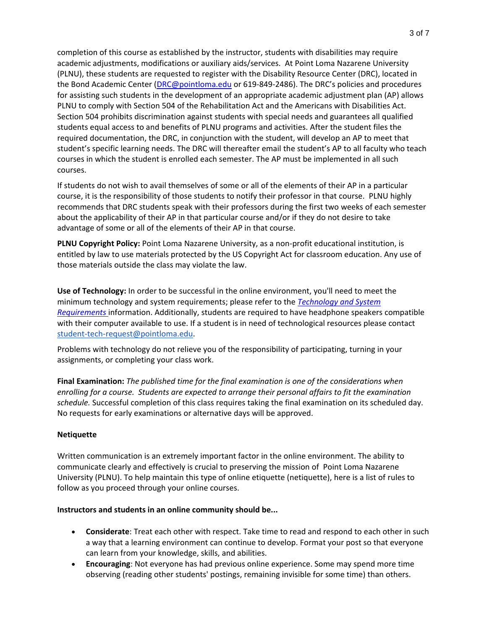completion of this course as established by the instructor, students with disabilities may require academic adjustments, modifications or auxiliary aids/services. At Point Loma Nazarene University (PLNU), these students are requested to register with the Disability Resource Center (DRC), located in the Bond Academic Center [\(DRC@pointloma.edu](mailto:DRC@pointloma.edu) or 619-849-2486). The DRC's policies and procedures for assisting such students in the development of an appropriate academic adjustment plan (AP) allows PLNU to comply with Section 504 of the Rehabilitation Act and the Americans with Disabilities Act. Section 504 prohibits discrimination against students with special needs and guarantees all qualified students equal access to and benefits of PLNU programs and activities. After the student files the required documentation, the DRC, in conjunction with the student, will develop an AP to meet that student's specific learning needs. The DRC will thereafter email the student's AP to all faculty who teach courses in which the student is enrolled each semester. The AP must be implemented in all such courses.

If students do not wish to avail themselves of some or all of the elements of their AP in a particular course, it is the responsibility of those students to notify their professor in that course. PLNU highly recommends that DRC students speak with their professors during the first two weeks of each semester about the applicability of their AP in that particular course and/or if they do not desire to take advantage of some or all of the elements of their AP in that course.

**PLNU Copyright Policy:** Point Loma Nazarene University, as a non-profit educational institution, is entitled by law to use materials protected by the US Copyright Act for classroom education. Any use of those materials outside the class may violate the law.

**Use of Technology:** In order to be successful in the online environment, you'll need to meet the minimum technology and system requirements; please refer to the *[Technology and System](https://help.pointloma.edu/TDClient/1808/Portal/KB/ArticleDet?ID=108349)  [Requirements](https://help.pointloma.edu/TDClient/1808/Portal/KB/ArticleDet?ID=108349)* information. Additionally, students are required to have headphone speakers compatible with their computer available to use. If a student is in need of technological resources please contact [student-tech-request@pointloma.edu.](mailto:student-tech-request@pointloma.edu)

Problems with technology do not relieve you of the responsibility of participating, turning in your assignments, or completing your class work.

**Final Examination:** *The published time for the final examination is one of the considerations when enrolling for a course. Students are expected to arrange their personal affairs to fit the examination schedule.* Successful completion of this class requires taking the final examination on its scheduled day. No requests for early examinations or alternative days will be approved.

### **Netiquette**

Written communication is an extremely important factor in the online environment. The ability to communicate clearly and effectively is crucial to preserving the mission of Point Loma Nazarene University (PLNU). To help maintain this type of online etiquette (netiquette), here is a list of rules to follow as you proceed through your online courses.

#### **Instructors and students in an online community should be...**

- **Considerate**: Treat each other with respect. Take time to read and respond to each other in such a way that a learning environment can continue to develop. Format your post so that everyone can learn from your knowledge, skills, and abilities.
- **Encouraging**: Not everyone has had previous online experience. Some may spend more time observing (reading other students' postings, remaining invisible for some time) than others.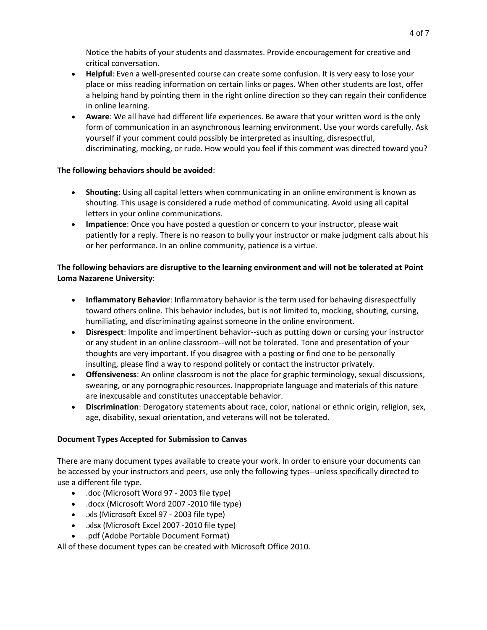Notice the habits of your students and classmates. Provide encouragement for creative and critical conversation.

- **Helpful**: Even a well-presented course can create some confusion. It is very easy to lose your place or miss reading information on certain links or pages. When other students are lost, offer a helping hand by pointing them in the right online direction so they can regain their confidence in online learning.
- **Aware**: We all have had different life experiences. Be aware that your written word is the only form of communication in an asynchronous learning environment. Use your words carefully. Ask yourself if your comment could possibly be interpreted as insulting, disrespectful, discriminating, mocking, or rude. How would you feel if this comment was directed toward you?

## **The following behaviors should be avoided**:

- **Shouting**: Using all capital letters when communicating in an online environment is known as shouting. This usage is considered a rude method of communicating. Avoid using all capital letters in your online communications.
- **Impatience**: Once you have posted a question or concern to your instructor, please wait patiently for a reply. There is no reason to bully your instructor or make judgment calls about his or her performance. In an online community, patience is a virtue.

# **The following behaviors are disruptive to the learning environment and will not be tolerated at Point Loma Nazarene University**:

- **Inflammatory Behavior**: Inflammatory behavior is the term used for behaving disrespectfully toward others online. This behavior includes, but is not limited to, mocking, shouting, cursing, humiliating, and discriminating against someone in the online environment.
- **Disrespect**: Impolite and impertinent behavior--such as putting down or cursing your instructor or any student in an online classroom--will not be tolerated. Tone and presentation of your thoughts are very important. If you disagree with a posting or find one to be personally insulting, please find a way to respond politely or contact the instructor privately.
- **Offensiveness**: An online classroom is not the place for graphic terminology, sexual discussions, swearing, or any pornographic resources. Inappropriate language and materials of this nature are inexcusable and constitutes unacceptable behavior.
- **Discrimination**: Derogatory statements about race, color, national or ethnic origin, religion, sex, age, disability, sexual orientation, and veterans will not be tolerated.

# **Document Types Accepted for Submission to Canvas**

There are many document types available to create your work. In order to ensure your documents can be accessed by your instructors and peers, use only the following types--unless specifically directed to use a different file type.

- .doc (Microsoft Word 97 2003 file type)
- .docx (Microsoft Word 2007 -2010 file type)
- .xls (Microsoft Excel 97 2003 file type)
- .xlsx (Microsoft Excel 2007 -2010 file type)
- .pdf (Adobe Portable Document Format)

All of these document types can be created with Microsoft Office 2010.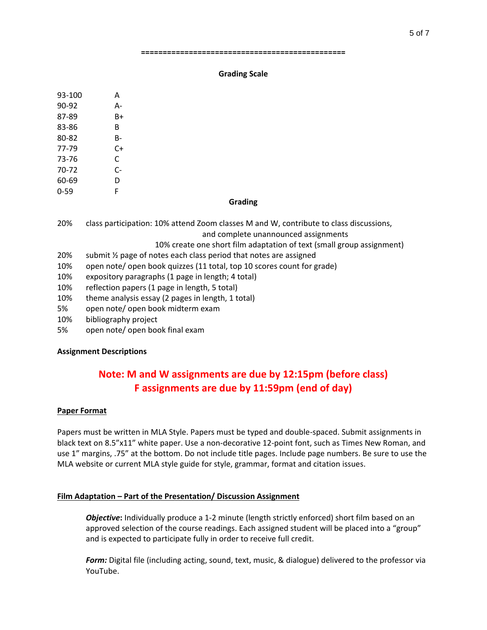#### **===============================================**

#### **Grading Scale**

| 93-100 | A  |
|--------|----|
| 90-92  | А- |
| 87-89  | B+ |
| 83-86  | в  |
| 80-82  | B- |
| 77-79  | C+ |
| 73-76  | C  |
| 70-72  | C- |
| 60-69  | D  |
| 0-59   | F  |

#### **Grading**

- 20% class participation: 10% attend Zoom classes M and W, contribute to class discussions, and complete unannounced assignments
	- 10% create one short film adaptation of text (small group assignment)
- 20% submit  $\frac{1}{2}$  page of notes each class period that notes are assigned
- 10% open note/ open book quizzes (11 total, top 10 scores count for grade)
- 10% expository paragraphs (1 page in length; 4 total)
- 10% reflection papers (1 page in length, 5 total)
- 10% theme analysis essay (2 pages in length, 1 total)
- 5% open note/ open book midterm exam
- 10% bibliography project
- 5% open note/ open book final exam

### **Assignment Descriptions**

# **Note: M and W assignments are due by 12:15pm (before class) F assignments are due by 11:59pm (end of day)**

### **Paper Format**

Papers must be written in MLA Style. Papers must be typed and double-spaced. Submit assignments in black text on 8.5"x11" white paper. Use a non-decorative 12-point font, such as Times New Roman, and use 1" margins, .75" at the bottom. Do not include title pages. Include page numbers. Be sure to use the MLA website or current MLA style guide for style, grammar, format and citation issues.

# **Film Adaptation – Part of the Presentation/ Discussion Assignment**

*Objective***:** Individually produce a 1-2 minute (length strictly enforced) short film based on an approved selection of the course readings. Each assigned student will be placed into a "group" and is expected to participate fully in order to receive full credit.

*Form:* Digital file (including acting, sound, text, music, & dialogue) delivered to the professor via YouTube.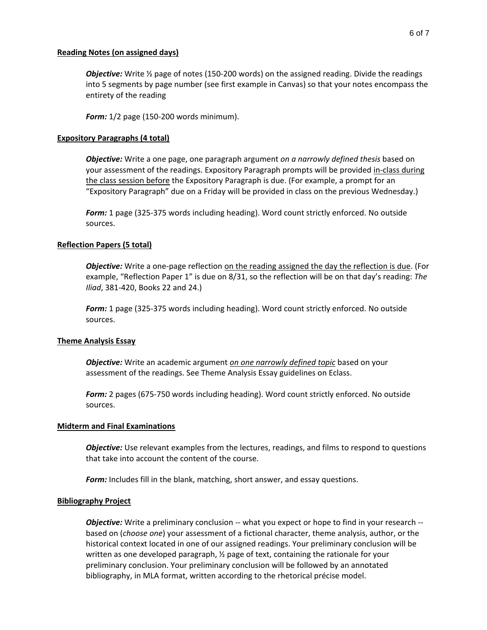#### **Reading Notes (on assigned days)**

**Objective:** Write  $\frac{1}{2}$  page of notes (150-200 words) on the assigned reading. Divide the readings into 5 segments by page number (see first example in Canvas) so that your notes encompass the entirety of the reading

*Form:* 1/2 page (150-200 words minimum).

#### **Expository Paragraphs (4 total)**

*Objective:* Write a one page, one paragraph argument *on a narrowly defined thesis* based on your assessment of the readings. Expository Paragraph prompts will be provided in-class during the class session before the Expository Paragraph is due. (For example, a prompt for an "Expository Paragraph" due on a Friday will be provided in class on the previous Wednesday.)

*Form:* 1 page (325-375 words including heading). Word count strictly enforced. No outside sources.

#### **Reflection Papers (5 total)**

*Objective:* Write a one-page reflection on the reading assigned the day the reflection is due. (For example, "Reflection Paper 1" is due on 8/31, so the reflection will be on that day's reading: *The Iliad*, 381-420, Books 22 and 24.)

*Form:* 1 page (325-375 words including heading). Word count strictly enforced. No outside sources.

#### **Theme Analysis Essay**

*Objective:* Write an academic argument *on one narrowly defined topic* based on your assessment of the readings. See Theme Analysis Essay guidelines on Eclass.

*Form:* 2 pages (675-750 words including heading). Word count strictly enforced. No outside sources.

#### **Midterm and Final Examinations**

*Objective:* Use relevant examples from the lectures, readings, and films to respond to questions that take into account the content of the course.

*Form:* Includes fill in the blank, matching, short answer, and essay questions.

#### **Bibliography Project**

*Objective:* Write a preliminary conclusion -- what you expect or hope to find in your research -based on (*choose one*) your assessment of a fictional character, theme analysis, author, or the historical context located in one of our assigned readings. Your preliminary conclusion will be written as one developed paragraph, ½ page of text, containing the rationale for your preliminary conclusion. Your preliminary conclusion will be followed by an annotated bibliography, in MLA format, written according to the rhetorical précise model.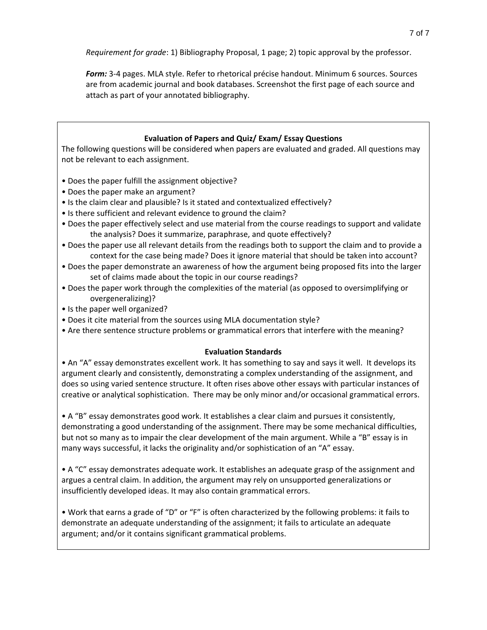*Requirement for grade*: 1) Bibliography Proposal, 1 page; 2) topic approval by the professor.

*Form:* 3-4 pages. MLA style. Refer to rhetorical précise handout. Minimum 6 sources. Sources are from academic journal and book databases. Screenshot the first page of each source and attach as part of your annotated bibliography.

# **Evaluation of Papers and Quiz/ Exam/ Essay Questions**

The following questions will be considered when papers are evaluated and graded. All questions may not be relevant to each assignment.

- Does the paper fulfill the assignment objective?
- Does the paper make an argument?
- Is the claim clear and plausible? Is it stated and contextualized effectively?
- Is there sufficient and relevant evidence to ground the claim?
- Does the paper effectively select and use material from the course readings to support and validate the analysis? Does it summarize, paraphrase, and quote effectively?
- Does the paper use all relevant details from the readings both to support the claim and to provide a context for the case being made? Does it ignore material that should be taken into account?
- Does the paper demonstrate an awareness of how the argument being proposed fits into the larger set of claims made about the topic in our course readings?
- Does the paper work through the complexities of the material (as opposed to oversimplifying or overgeneralizing)?
- Is the paper well organized?
- Does it cite material from the sources using MLA documentation style?
- Are there sentence structure problems or grammatical errors that interfere with the meaning?

### **Evaluation Standards**

• An "A" essay demonstrates excellent work. It has something to say and says it well. It develops its argument clearly and consistently, demonstrating a complex understanding of the assignment, and does so using varied sentence structure. It often rises above other essays with particular instances of creative or analytical sophistication. There may be only minor and/or occasional grammatical errors.

• A "B" essay demonstrates good work. It establishes a clear claim and pursues it consistently, demonstrating a good understanding of the assignment. There may be some mechanical difficulties, but not so many as to impair the clear development of the main argument. While a "B" essay is in many ways successful, it lacks the originality and/or sophistication of an "A" essay.

• A "C" essay demonstrates adequate work. It establishes an adequate grasp of the assignment and argues a central claim. In addition, the argument may rely on unsupported generalizations or insufficiently developed ideas. It may also contain grammatical errors.

• Work that earns a grade of "D" or "F" is often characterized by the following problems: it fails to demonstrate an adequate understanding of the assignment; it fails to articulate an adequate argument; and/or it contains significant grammatical problems.